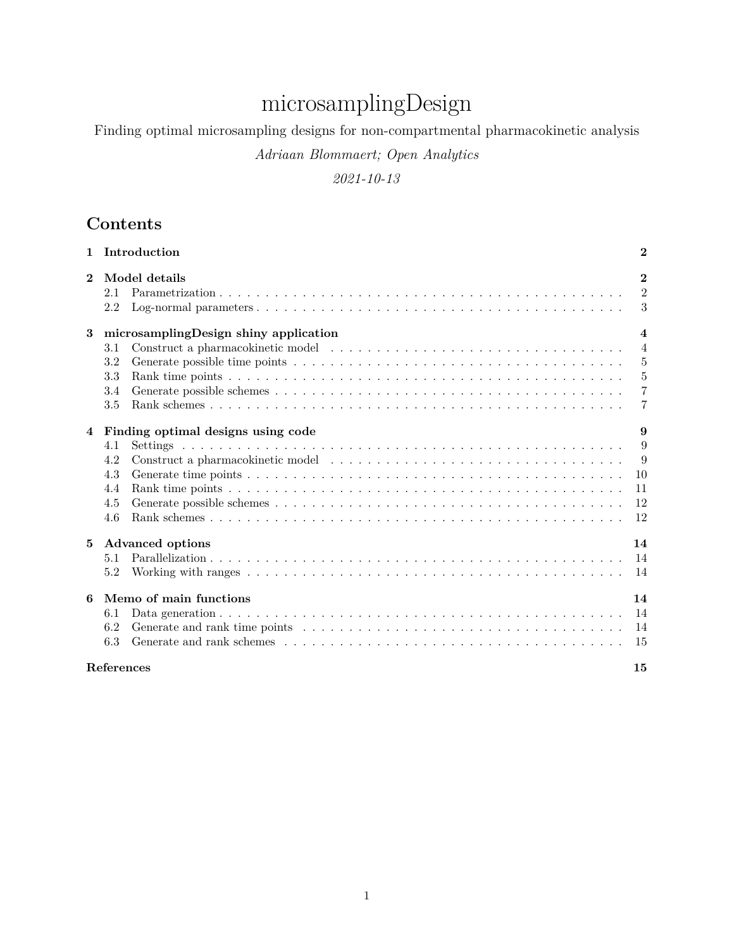# microsamplingDesign

Finding optimal microsampling designs for non-compartmental pharmacokinetic analysis

*Adriaan Blommaert; Open Analytics*

*2021-10-13*

# **Contents**

|                | 1 Introduction    |                                         | $\mathbf{2}$     |  |  |  |  |  |  |  |  |  |  |
|----------------|-------------------|-----------------------------------------|------------------|--|--|--|--|--|--|--|--|--|--|
| $\overline{2}$ |                   | Model details                           | $\overline{2}$   |  |  |  |  |  |  |  |  |  |  |
|                | 2.1               |                                         | $\overline{2}$   |  |  |  |  |  |  |  |  |  |  |
|                | 2.2               |                                         | 3                |  |  |  |  |  |  |  |  |  |  |
| 3              |                   | microsamplingDesign shiny application   | $\boldsymbol{4}$ |  |  |  |  |  |  |  |  |  |  |
|                | 3.1               |                                         | $\overline{4}$   |  |  |  |  |  |  |  |  |  |  |
|                | 3.2               |                                         | 5                |  |  |  |  |  |  |  |  |  |  |
|                | 3.3               |                                         | $\overline{5}$   |  |  |  |  |  |  |  |  |  |  |
|                | 3.4               |                                         | $\overline{7}$   |  |  |  |  |  |  |  |  |  |  |
|                | 3.5               |                                         | $\overline{7}$   |  |  |  |  |  |  |  |  |  |  |
| 4              |                   | 9<br>Finding optimal designs using code |                  |  |  |  |  |  |  |  |  |  |  |
|                | 4.1               |                                         | 9                |  |  |  |  |  |  |  |  |  |  |
|                | 4.2               |                                         | - 9              |  |  |  |  |  |  |  |  |  |  |
|                | 4.3               |                                         | <sup>10</sup>    |  |  |  |  |  |  |  |  |  |  |
|                | 4.4               |                                         | 11               |  |  |  |  |  |  |  |  |  |  |
|                | 4.5               |                                         | 12               |  |  |  |  |  |  |  |  |  |  |
|                | 4.6               |                                         | 12               |  |  |  |  |  |  |  |  |  |  |
| $5^{\circ}$    |                   | <b>Advanced options</b>                 | 14               |  |  |  |  |  |  |  |  |  |  |
|                | 5.1               |                                         | -14              |  |  |  |  |  |  |  |  |  |  |
|                | 5.2               |                                         | 14               |  |  |  |  |  |  |  |  |  |  |
| 6              |                   | Memo of main functions                  | 14               |  |  |  |  |  |  |  |  |  |  |
|                | 6.1               |                                         | 14               |  |  |  |  |  |  |  |  |  |  |
|                | 6.2               |                                         | 14               |  |  |  |  |  |  |  |  |  |  |
|                | 6.3               |                                         | -15              |  |  |  |  |  |  |  |  |  |  |
|                | <b>References</b> |                                         | 15               |  |  |  |  |  |  |  |  |  |  |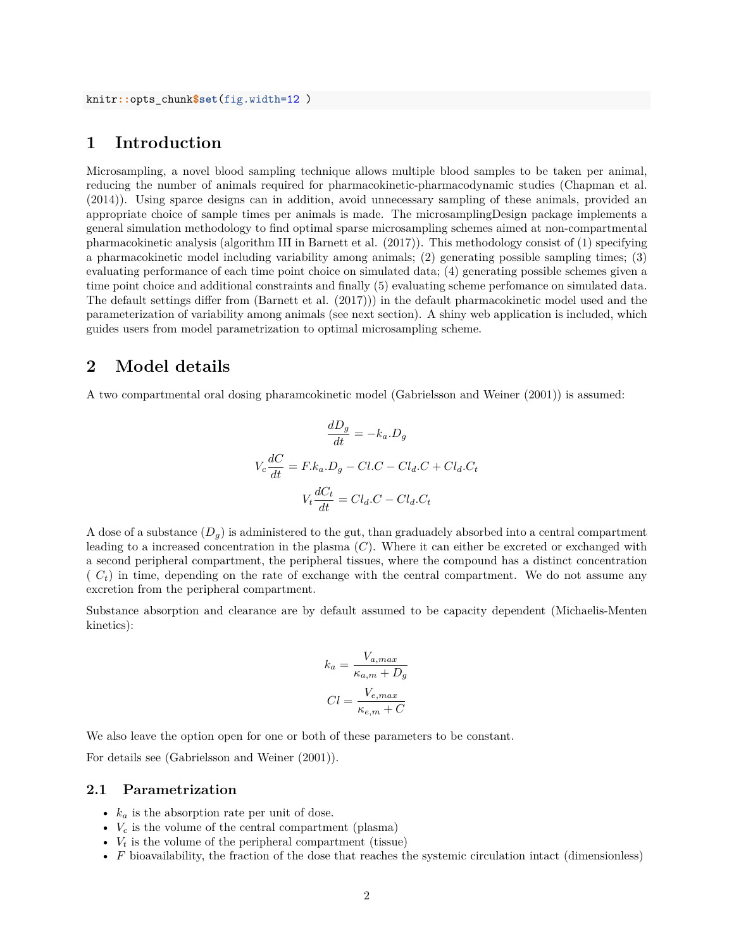# **1 Introduction**

Microsampling, a novel blood sampling technique allows multiple blood samples to be taken per animal, reducing the number of animals required for pharmacokinetic-pharmacodynamic studies (Chapman et al. (2014)). Using sparce designs can in addition, avoid unnecessary sampling of these animals, provided an appropriate choice of sample times per animals is made. The microsamplingDesign package implements a general simulation methodology to find optimal sparse microsampling schemes aimed at non-compartmental pharmacokinetic analysis (algorithm III in Barnett et al. (2017)). This methodology consist of (1) specifying a pharmacokinetic model including variability among animals; (2) generating possible sampling times; (3) evaluating performance of each time point choice on simulated data; (4) generating possible schemes given a time point choice and additional constraints and finally (5) evaluating scheme perfomance on simulated data. The default settings differ from (Barnett et al. (2017))) in the default pharmacokinetic model used and the parameterization of variability among animals (see next section). A shiny web application is included, which guides users from model parametrization to optimal microsampling scheme.

#### **2 Model details**

A two compartmental oral dosing pharamcokinetic model (Gabrielsson and Weiner (2001)) is assumed:

$$
\frac{dD_g}{dt} = -k_a \cdot D_g
$$
  

$$
V_c \frac{dC}{dt} = F \cdot k_a \cdot D_g - C \cdot C - C \cdot l_d \cdot C + C \cdot l_d \cdot C_t
$$
  

$$
V_t \frac{dC_t}{dt} = C \cdot l_d \cdot C - C \cdot l_d \cdot C_t
$$

A dose of a substance  $(D_q)$  is administered to the gut, than graduadely absorbed into a central compartment leading to a increased concentration in the plasma (*C*). Where it can either be excreted or exchanged with a second peripheral compartment, the peripheral tissues, where the compound has a distinct concentration  $(C<sub>t</sub>)$  in time, depending on the rate of exchange with the central compartment. We do not assume any excretion from the peripheral compartment.

Substance absorption and clearance are by default assumed to be capacity dependent (Michaelis-Menten kinetics):

$$
k_a = \frac{V_{a,max}}{\kappa_{a,m} + D_g}
$$

$$
Cl = \frac{V_{e,max}}{\kappa_{e,m} + C}
$$

We also leave the option open for one or both of these parameters to be constant.

For details see (Gabrielsson and Weiner (2001)).

#### **2.1 Parametrization**

- *k<sup>a</sup>* is the absorption rate per unit of dose.
- $V_c$  is the volume of the central compartment (plasma)
- $V_t$  is the volume of the peripheral compartment (tissue)
- *F* bioavailability, the fraction of the dose that reaches the systemic circulation intact (dimensionless)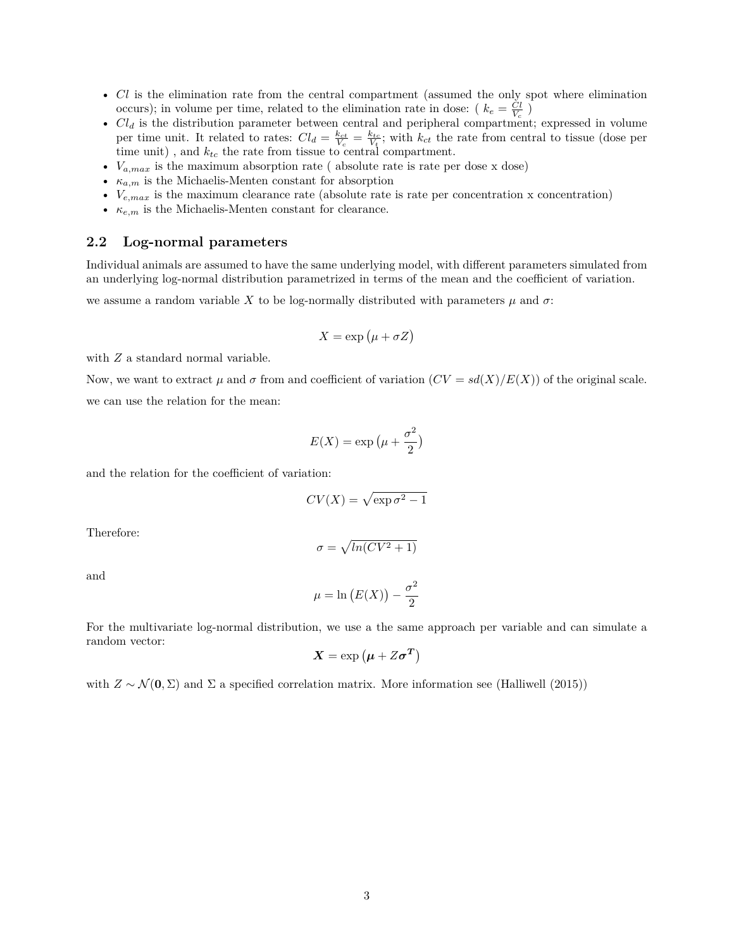- *Cl* is the elimination rate from the central compartment (assumed the only spot where elimination occurs); in volume per time, related to the elimination rate in dose: ( $k_e = \frac{Cl}{V_c}$ )
- *Cl<sup>d</sup>* is the distribution parameter between central and peripheral compartment; expressed in volume per time unit. It related to rates:  $Cl_d = \frac{k_{ct}}{V_c} = \frac{k_{tc}}{V_t}$ ; with  $k_{ct}$  the rate from central to tissue (dose per time unit) , and *ktc* the rate from tissue to central compartment.
- $V_{a,max}$  is the maximum absorption rate (absolute rate is rate per dose x dose)
- $\kappa_{a,m}$  is the Michaelis-Menten constant for absorption
- $V_{e,max}$  is the maximum clearance rate (absolute rate is rate per concentration x concentration)
- *κe,m* is the Michaelis-Menten constant for clearance.

#### **2.2 Log-normal parameters**

Individual animals are assumed to have the same underlying model, with different parameters simulated from an underlying log-normal distribution parametrized in terms of the mean and the coefficient of variation.

we assume a random variable X to be log-normally distributed with parameters  $\mu$  and  $\sigma$ :

$$
X = \exp\left(\mu + \sigma Z\right)
$$

with  $Z$  a standard normal variable.

Now, we want to extract  $\mu$  and  $\sigma$  from and coefficient of variation  $(CV = sd(X)/E(X))$  of the original scale. we can use the relation for the mean:

$$
E(X) = \exp\left(\mu + \frac{\sigma^2}{2}\right)
$$

and the relation for the coefficient of variation:

$$
CV(X) = \sqrt{\exp \sigma^2 - 1}
$$

Therefore:

$$
\sigma = \sqrt{ln(CV^2 + 1)}
$$

and

$$
\mu = \ln\left(E(X)\right) - \frac{\sigma^2}{2}
$$

For the multivariate log-normal distribution, we use a the same approach per variable and can simulate a random vector:

$$
\boldsymbol{X}=\exp\left(\boldsymbol{\mu}+Z\boldsymbol{\sigma}^T\right)
$$

with  $Z \sim \mathcal{N}(\mathbf{0}, \Sigma)$  and  $\Sigma$  a specified correlation matrix. More information see (Halliwell (2015))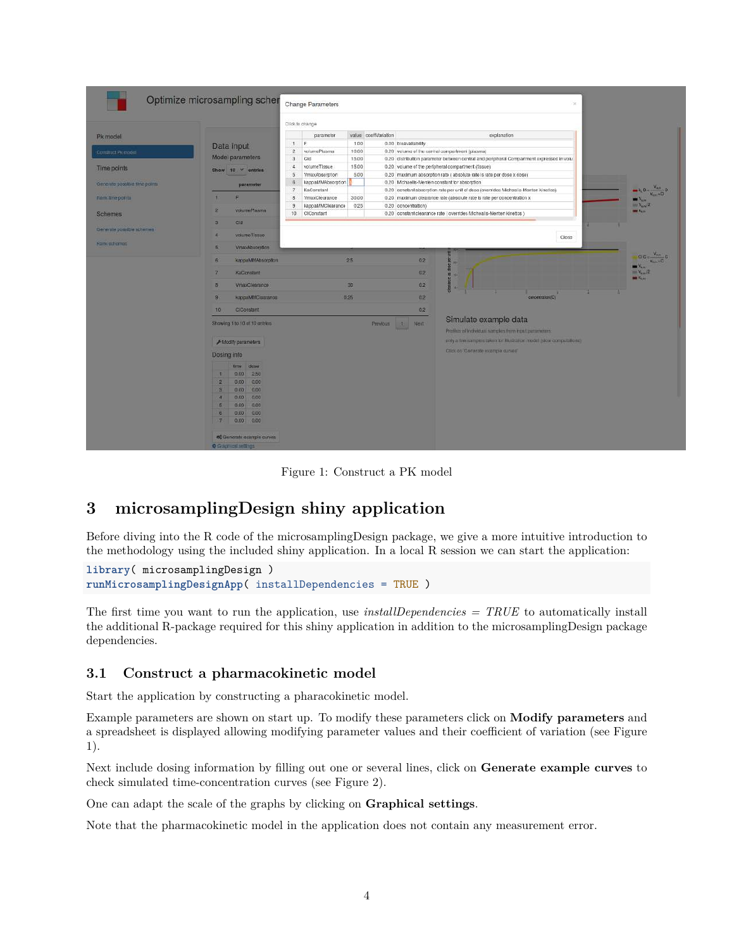| Pk model<br>Comfruct Picmodel<br>Time points                                   | Data input                                                                                                                                                                                                                                                                                                                                                                                                                                                                                             | Click to change<br>paramoter<br>$\top$<br>E:                                                                                                                                    |                                                                 |                                                                                                                                                                                                                                                                                                                                                                                                                                                            |                                                                                                         |
|--------------------------------------------------------------------------------|--------------------------------------------------------------------------------------------------------------------------------------------------------------------------------------------------------------------------------------------------------------------------------------------------------------------------------------------------------------------------------------------------------------------------------------------------------------------------------------------------------|---------------------------------------------------------------------------------------------------------------------------------------------------------------------------------|-----------------------------------------------------------------|------------------------------------------------------------------------------------------------------------------------------------------------------------------------------------------------------------------------------------------------------------------------------------------------------------------------------------------------------------------------------------------------------------------------------------------------------------|---------------------------------------------------------------------------------------------------------|
|                                                                                |                                                                                                                                                                                                                                                                                                                                                                                                                                                                                                        |                                                                                                                                                                                 |                                                                 |                                                                                                                                                                                                                                                                                                                                                                                                                                                            |                                                                                                         |
| Generate possible time points                                                  | Model parameters<br>Show 10 cntries<br>paramotor<br>E                                                                                                                                                                                                                                                                                                                                                                                                                                                  | $\overline{2}$<br>volumaPlasma<br>$\mathbf{3}$<br>Cld<br>4<br>volumeTissue<br>$\overline{5}$<br><b>VmaxAbscrption</b><br>kappaMMAbsorpton<br>$\overline{a}$<br>KaConstant<br>-7 | value coeffVariation<br>1.00<br>10.00<br>15:00<br>15.00<br>5.00 | explanation<br>0.00 bloavallability<br>0.20 volume of the central compartment (plasma).<br>0.20 distribution parameter between central and peripheral Compartment expressed in volu<br>0.20 volume of the peripheral compartment (fissue)<br>0.20 maximum absorption rate (absolute rate is rate per dose x dose)<br>0.20 Michaells-Menten constant for absorption<br>0.20 constant absorption rate per unit of dose (overrides Micheal's-Menten kinetics) | $\frac{V_{\text{abs}}}{V_{\text{loss}}+D}$<br>$k_1 + l_2$                                               |
| Renktime points<br><b>Schemes</b><br>Cenerale possible schemes<br>Rank schomas | volumePlasma<br>$\mathbf{2}$<br>$\overline{3}$<br><b>Cid</b><br>valumeTissue.<br>×<br><b>VmaxAbsorption</b><br>5.                                                                                                                                                                                                                                                                                                                                                                                      | 8<br>VmaxClearance<br>kappaMMClearance<br>э<br>10<br>CIConstant                                                                                                                 | 30.00<br>0.25                                                   | 0.20 maximum clearance rate (absolute rate is rate per concentration x<br>0.20 concentration)<br>0.20 constant clearance rate   overrides Michealis-Menten Kinetics )<br>Close                                                                                                                                                                                                                                                                             | $W_{\text{max}}$<br>$mV_{\text{av}}/2$<br><b>MM Kun</b>                                                 |
|                                                                                | kappaMMAbsorption<br>6 <sup>°</sup><br>$\mathbb{Z}$<br>KaConstant<br>$\alpha$<br><b>VmaxClearance</b><br><b>AuppaMMC/asrance</b><br>$\mathbf{g}$<br>10<br><b>CiConstant</b><br>Showing 1 to 10 of 10 onlying<br>F Modify parameters<br>Dosing info<br>time dose<br>0.00<br>2.50<br>т<br>$\overline{z}$<br>0.00<br>0.00<br>0.00<br>$\mathbf{s}$<br>0.00<br>0.00<br>0.00<br>$\mathbf{d}$<br>5<br>0.00<br>0.00<br>6<br>0.00<br>0.00<br>7 <sub>z</sub><br>0.00<br>0.00<br><b>o</b> Generals example curves |                                                                                                                                                                                 | 25<br>30 <sub>1</sub><br>0.25<br><b>Previous</b>                | 0.2<br>may.<br>0.2 <sub>1</sub><br>и<br>0.2<br>$\alpha$<br>02<br>concentration (C)<br>0.2<br>Simulate example data<br>$ 1\rangle$<br>Next<br>Profitus of Individual samples from Industrian vehicles:<br>any a fine sumples been for illustration model julow computations.<br>Click on Generate example curves                                                                                                                                            | $100 - \frac{V_{\text{eff}}}{V_{\text{eff}}}$<br>$\mathbf{v}_{\rm{air}}$<br>$W_{\text{max}}/2$<br>m < 1 |

Figure 1: Construct a PK model

# **3 microsamplingDesign shiny application**

Before diving into the R code of the microsamplingDesign package, we give a more intuitive introduction to the methodology using the included shiny application. In a local R session we can start the application:

```
library( microsamplingDesign )
runMicrosamplingDesignApp( installDependencies = TRUE )
```
The first time you want to run the application, use *installDependencies = TRUE* to automatically install the additional R-package required for this shiny application in addition to the microsamplingDesign package dependencies.

# **3.1 Construct a pharmacokinetic model**

Start the application by constructing a pharacokinetic model.

Example parameters are shown on start up. To modify these parameters click on **Modify parameters** and a spreadsheet is displayed allowing modifying parameter values and their coefficient of variation (see Figure 1).

Next include dosing information by filling out one or several lines, click on **Generate example curves** to check simulated time-concentration curves (see Figure 2).

One can adapt the scale of the graphs by clicking on **Graphical settings**.

Note that the pharmacokinetic model in the application does not contain any measurement error.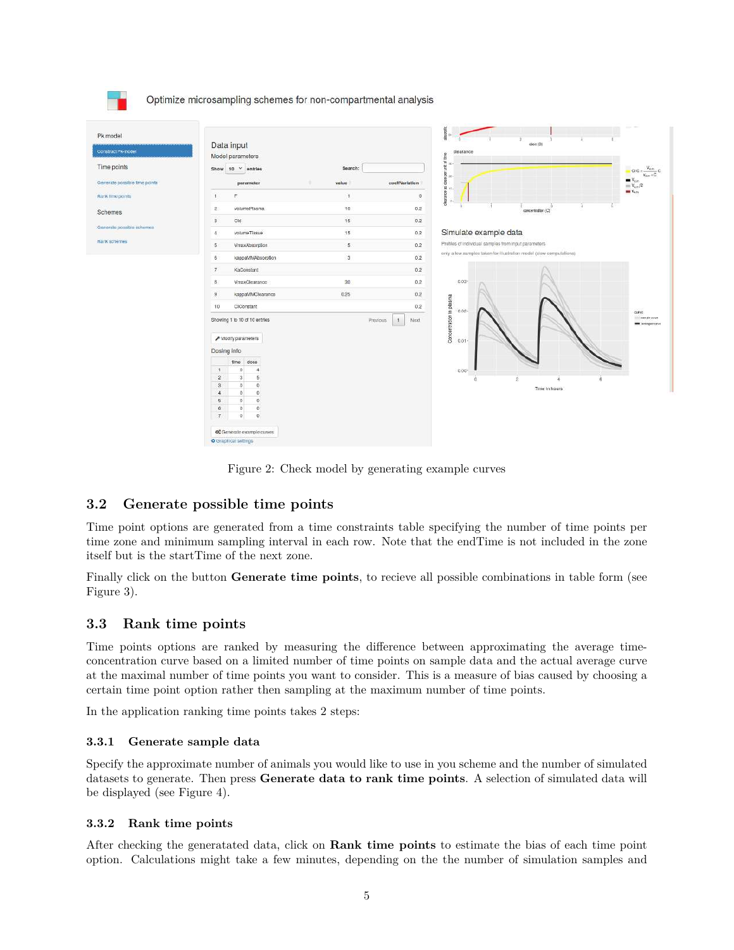

Figure 2: Check model by generating example curves

# **3.2 Generate possible time points**

Time point options are generated from a time constraints table specifying the number of time points per time zone and minimum sampling interval in each row. Note that the endTime is not included in the zone itself but is the startTime of the next zone.

Finally click on the button **Generate time points**, to recieve all possible combinations in table form (see Figure 3).

# **3.3 Rank time points**

Time points options are ranked by measuring the difference between approximating the average timeconcentration curve based on a limited number of time points on sample data and the actual average curve at the maximal number of time points you want to consider. This is a measure of bias caused by choosing a certain time point option rather then sampling at the maximum number of time points.

In the application ranking time points takes 2 steps:

#### **3.3.1 Generate sample data**

Specify the approximate number of animals you would like to use in you scheme and the number of simulated datasets to generate. Then press **Generate data to rank time points**. A selection of simulated data will be displayed (see Figure 4).

#### **3.3.2 Rank time points**

After checking the generatated data, click on **Rank time points** to estimate the bias of each time point option. Calculations might take a few minutes, depending on the the number of simulation samples and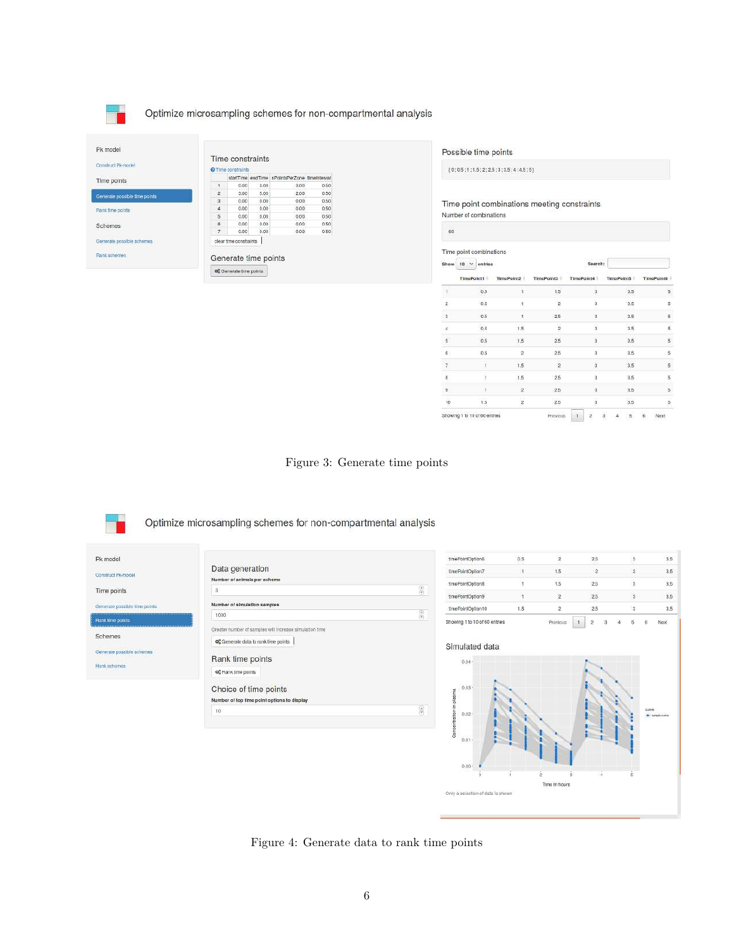

Optimize microsampling schemes for non-compartmental analysis

| Construct Pk-model<br>and a series of the series of the con- | Time constraints<br>O Time constraints |                                |      |                                               |      |  |  |  |  |
|--------------------------------------------------------------|----------------------------------------|--------------------------------|------|-----------------------------------------------|------|--|--|--|--|
| Time points                                                  |                                        |                                |      | startTime endTime nPointsPerZone timeInterval |      |  |  |  |  |
|                                                              | 1                                      | 0.00.                          | 3.00 | 3.00                                          | 0.50 |  |  |  |  |
| Generate possible time points                                | $\overline{2}$                         | 3.00                           | 5.00 | 2.00                                          | 0.50 |  |  |  |  |
|                                                              | $\overline{\mathbf{3}}$                | 0.00                           | 0.00 | 0.00                                          | 0.50 |  |  |  |  |
| <b>Rank time points</b>                                      | 4                                      | 0.00                           | 0.00 | 0.00                                          | 0.50 |  |  |  |  |
|                                                              | 5                                      | 0.00                           | 0.00 | 0.00                                          | 0.50 |  |  |  |  |
| Schemes                                                      | s.                                     | 0.00                           | 0.00 | 0.00                                          | 0.50 |  |  |  |  |
|                                                              | $\overline{7}$                         | 0.00                           | 0.00 | 0.00                                          | 0.50 |  |  |  |  |
| Generate possible schemes                                    |                                        | clear time constraints.        |      |                                               |      |  |  |  |  |
| Rank schemes                                                 | Generate time points                   |                                |      |                                               |      |  |  |  |  |
|                                                              |                                        | <b>QC</b> Generate time points |      |                                               |      |  |  |  |  |

Possible time points

 ${0.5; 1; 1.5; 2; 2.5; 3; 3.5; 4; 4.5; 5}$ 

Time point combinations meeting constraints Number of combinations

| 60                 |                               |                |                         |                                 |                 |                      |
|--------------------|-------------------------------|----------------|-------------------------|---------------------------------|-----------------|----------------------|
|                    | Time point combinations       |                |                         |                                 |                 |                      |
| Show               | $10 \times$ ontries           |                |                         | Search:                         |                 |                      |
|                    | TimePoint1                    | TimePoint2     | TimePoint3              | TimePoint4                      | TimePoint5      | TimePaint6           |
| $\mathfrak{t}$     | 0.5                           | 1              | 1.5                     | 3                               | 3.5             | $\overline{5}$       |
| $\hat{\mathbf{2}}$ | 0.5                           | $\mathbf{1}$   | $\overline{2}$          | 3                               | 3.5             | 5                    |
| $\mathfrak z$      | 0.5                           | ı              | 2.5                     | 3                               | 3.5             | 5                    |
| $\spadesuit$       | 0.5                           | 1.5            | $\overline{2}$          | 3                               | 3.5             | 5                    |
| š.                 | 0.5                           | 1.5            | 25                      | 3                               | 3.5             | $\bar{\mathbf{5}}$   |
| 6                  | 0.5                           | $\hat{z}$      | 2.5                     | 3                               | 3.5             | 5                    |
| 7                  | $\mathbf{1}$                  | 1.5            | $\overline{\mathbf{2}}$ | 3                               | 3.5             | $\overline{5}$       |
| à                  | Ĵ                             | 1.5            | 2.5                     | $\overline{\bf{3}}$             | 3.5             | $\tilde{\mathbf{5}}$ |
| 9                  | 1                             | $\mathfrak{D}$ | 2.5                     | 3                               | 3.5             | $\overline{5}$       |
| 10                 | $1.5\,$                       | $\overline{2}$ | 2.5                     | 3                               | 3.5             | $\frac{1}{2}$        |
|                    | Showing 1 to 10 of 60 entries |                | Provinus                | $\ddot{3}$<br>ž<br>$\mathbf{I}$ | 5<br>$\ddot{a}$ | ñ<br>Next            |

Time in hours

Figure 3: Generate time points

Optimize microsampling schemes for non-compartmental analysis Pk model  $3.5\,$ timePointOption6  $0.5$  $\overline{2}$ 2.5 s Data generation fimePointOption7  $1.5\,$  $\ddot{\rm{2}}$  $3.5$  $\bar{A}$ 3 Construct Pk-model Number of animals per scher  $2.5$  $3.5$ tmePointOption8  $\mathbf{1.5}$ s h  $\epsilon_0$ Time points  $\overline{\mathbf{3}}$  $\mathbf{2}$  $2.5\,$  $_{\rm 3.5}$ tmePointOption9  $\uparrow$ 3 Generate possible line points Number of simulation samples ImePointOplion10 1.5  $2.5$  $_{3.5}$ 2  $\begin{pmatrix} 0 & 0 \\ 0 & 0 \end{pmatrix}$ 1000 .<br>Rank lime poi Showing 1 to 10 of 60 entries Previous  $\begin{array}{|c|c|c|} \hline \textbf{1} & \textbf{2} \end{array}$  $\tilde{\mathbf{5}}$ Next  $\boldsymbol{3}$  $\boldsymbol{4}$  $\ddot{\mathrm{o}}$ Greater number of samples will increase simulation time Schemes og Generale data to rank time points Simulated data Generate possible schemes Rank time points 0.04-**Bank schomas** os Rank time points  $0.0$ Choice of time points entration in plasma Number of top time point options to display  $\widehat{\mathbb{S}}$  $\mathbf{10}$  $0.02$ S  $0.0$ 

 $0.00$ 

Only a selection of data is shown

Figure 4: Generate data to rank time points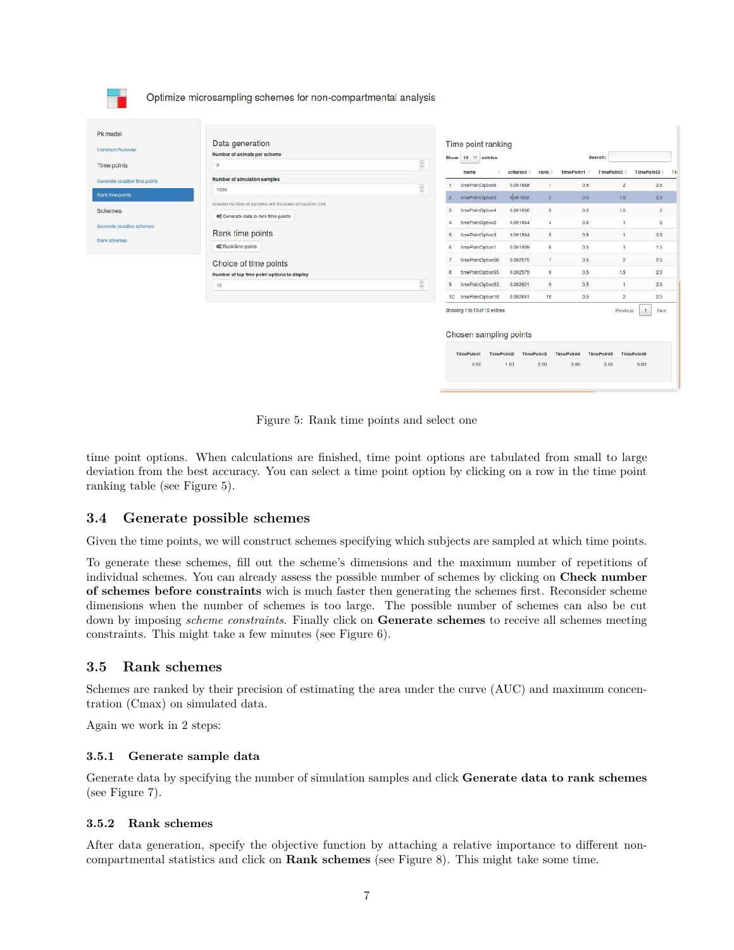|                               |                                                                      |                              | Showing 1 to 10 of 10 entries<br>Chosen sampling points |                       |                         |                   | Previous                   | Nox<br>$\mathbf{t}$  |
|-------------------------------|----------------------------------------------------------------------|------------------------------|---------------------------------------------------------|-----------------------|-------------------------|-------------------|----------------------------|----------------------|
|                               |                                                                      | 10                           | tmePointOption16                                        | 0.002641              | 10                      | 0.5               | $\overline{2}$             | 25                   |
|                               | $10 -$                                                               | $\overline{g}(\overline{y})$ | ImePointOption53                                        | 0.002621              | $\overline{9}$          | 0.5               |                            | 2.5                  |
|                               | Choice of time points<br>Number of top time point options to display |                              | timePointOption56<br>tmePoIntOption55                   | 0.002575<br>0.002579  | $\gamma$<br>$_{\rm 8}$  | 0.5<br>0.5        | $\mathbf{2}$<br>1.5        | 2.5<br>2.5           |
|                               | o <sup>e</sup> Rank lime points                                      |                              | tmePointOption1                                         | 0.001909              | b.                      | 0.5               |                            | 1.5                  |
| Rank schemes                  | Rank time points                                                     | 5                            | EmePointOption3                                         | 0.001894              | 5                       | 0.5               |                            | 2.5                  |
| Generale possible schemes     | og Generate data to rank time points                                 |                              | timePoIntOption2                                        | 0.001864              | $\boldsymbol{A}$        | 0.5               |                            |                      |
| Schemes                       | Greater number of samples will increase simulation time              |                              | timePointOption4                                        | 0.001856              | $\overline{\mathbf{3}}$ | 0.5               | 1.5                        |                      |
| Rank time points              | 1000                                                                 | $\widehat{\mathbf{c}}$       | 1mePaintOpton5                                          | 0 001052              | $\mathbf{R}$            | 0.5               | 1.5                        | 2.5                  |
| Generale possible time points | Number of simulation samples                                         |                              | name<br>EmePaintOpEon6                                  | criterion<br>0.001848 | rank<br>1               | TimePoint1<br>0.5 | TimePoint2<br>$\mathbf{2}$ | TimePoint3 Ti<br>2.5 |
| Time points                   | Number of animals per scheme<br>$\overline{\mathbf{3}}$              | $\frac{1}{2}$                | Show $10 \times$ entries                                |                       |                         |                   | Search:                    |                      |
| Construct Piemodel            | Data generation                                                      |                              | Time point ranking                                      |                       |                         |                   |                            |                      |

Figure 5: Rank time points and select one

time point options. When calculations are finished, time point options are tabulated from small to large deviation from the best accuracy. You can select a time point option by clicking on a row in the time point ranking table (see Figure 5).

# **3.4 Generate possible schemes**

Given the time points, we will construct schemes specifying which subjects are sampled at which time points.

To generate these schemes, fill out the scheme's dimensions and the maximum number of repetitions of individual schemes. You can already assess the possible number of schemes by clicking on **Check number of schemes before constraints** wich is much faster then generating the schemes first. Reconsider scheme dimensions when the number of schemes is too large. The possible number of schemes can also be cut down by imposing *scheme constraints*. Finally click on **Generate schemes** to receive all schemes meeting constraints. This might take a few minutes (see Figure 6).

#### **3.5 Rank schemes**

**TEST** 

Schemes are ranked by their precision of estimating the area under the curve (AUC) and maximum concentration (Cmax) on simulated data.

Again we work in 2 steps:

#### **3.5.1 Generate sample data**

Generate data by specifying the number of simulation samples and click **Generate data to rank schemes** (see Figure 7).

#### **3.5.2 Rank schemes**

After data generation, specify the objective function by attaching a relative importance to different noncompartmental statistics and click on **Rank schemes** (see Figure 8). This might take some time.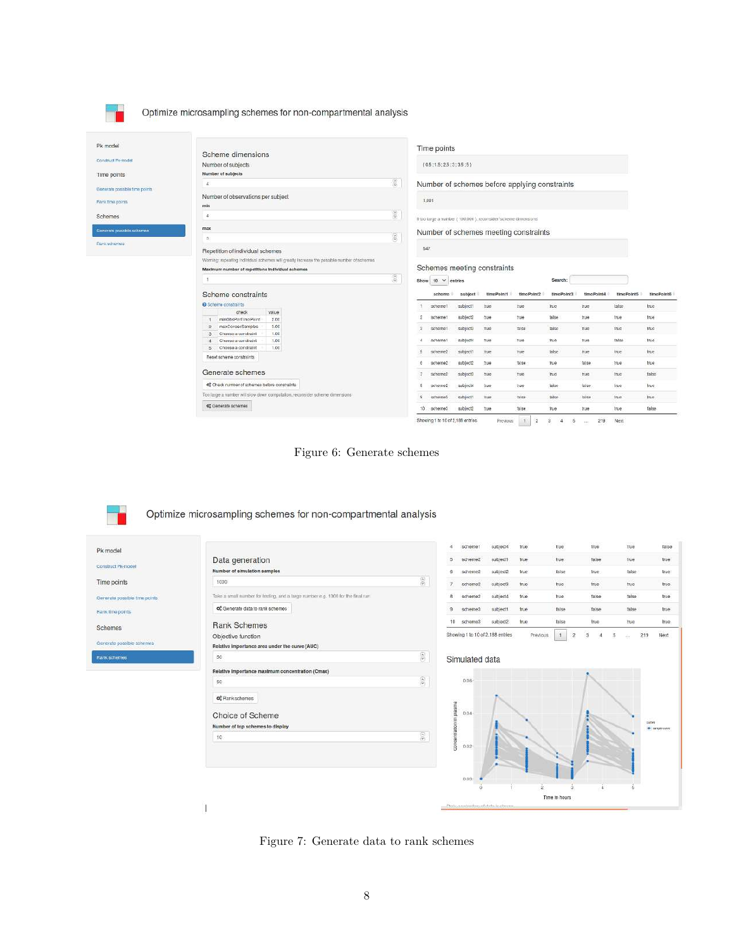Optimize microsampling schemes for non-compartmental analysis

| Pk model                      | Scheme dimensions                                                                                                                              | Time points                   |                                     |          |                                                                   |            |            |            |            |              |
|-------------------------------|------------------------------------------------------------------------------------------------------------------------------------------------|-------------------------------|-------------------------------------|----------|-------------------------------------------------------------------|------------|------------|------------|------------|--------------|
| :Construct Pk-model           | Number of subjects                                                                                                                             | ${0.5:1.5:2.5:3:3.5:5}$       |                                     |          |                                                                   |            |            |            |            |              |
| Time points                   | Number of subjects                                                                                                                             |                               |                                     |          |                                                                   |            |            |            |            |              |
| Generate possible time points | $\mathbb{S}$<br>$\Delta$                                                                                                                       |                               |                                     |          | Number of schemes before applying constraints                     |            |            |            |            |              |
| Rank fime points              | Number of observations per subject<br>min                                                                                                      |                               | 1,001                               |          |                                                                   |            |            |            |            |              |
| Schemes                       | $\frac{1}{2}$<br>$\frac{1}{2}$                                                                                                                 |                               |                                     |          | If too large a number ( 100,000 ), reconsider 'scheme dimensions' |            |            |            |            |              |
| Generate possible schemes     | max<br>$\left( \frac{1}{2},\frac{1}{2}\right)$<br>B                                                                                            |                               |                                     |          | Number of schemes meeting constraints                             |            |            |            |            |              |
| <b>Paris schemes</b>          | Repetition of individual schemes                                                                                                               |                               | 547                                 |          |                                                                   |            |            |            |            |              |
|                               | Waming: repeating individual schemes will greatly increase the possible number of schemes.<br>Maximum number of repetitions individual schemes |                               |                                     |          | Schemes meeting constraints                                       |            |            |            |            |              |
|                               |                                                                                                                                                | $\frac{\partial}{\partial t}$ | Show $10 \times$ entries<br>Search: |          |                                                                   |            |            |            |            |              |
|                               | Scheme constraints                                                                                                                             |                               | schome                              | subject  | timePoint1                                                        | timePoint2 | timePoint3 | timePoint4 | timePoint5 | timePoint6   |
|                               | Scheme constraints                                                                                                                             |                               | scheme1                             | subject1 | <b>Tue</b>                                                        | <b>TUC</b> | true       | true.      | lalse      | true.        |
|                               | value.<br>check<br>minObsPorT ImoPoint<br>2.00                                                                                                 | $\overline{2}$                | scheme1                             | subject2 | 700                                                               | 3'ue       | false      | 710        | true       | true         |
|                               | maxConsecSamples<br>3.00<br>2<br>Choose a constraint<br>1.00<br>э                                                                              | з                             | schemet                             | subject3 | .true                                                             | talse      | taise      | TUC        | true       | truc         |
|                               | 1.00<br>Choose a constraint<br>1.00                                                                                                            | ×                             | schamat                             | subjects | TUB <sup>1</sup>                                                  | 716        | tn.a.      | Tue        | talse      | tnie         |
|                               | Choose a constraint<br>Б.<br>Reset scheme constraints                                                                                          |                               | scheme2                             | subject1 | <b>TUE</b>                                                        | <b>Tue</b> | talse      | true       | true       | true.        |
|                               |                                                                                                                                                | A                             | scheme2                             | subject2 | 300                                                               | 38.80      | true       | $f$ a/se   | true       | true         |
|                               | Generate schemes                                                                                                                               |                               | scheme2                             | subject3 | <b>TUD</b>                                                        | 500        | m.e.       | 0110       | truc       | talse        |
|                               | of Check number of schemes before constraints                                                                                                  |                               | scheme2                             | subjeck  | <b>true</b>                                                       | true       | Talse      | false.     | true.      | Inse-        |
|                               | Too large a number will slow down computation, reconsider scheme dimensions-                                                                   | s                             | scheme3                             | subject1 | <b>aue</b>                                                        | talee      | talse      | tolse      | true.      | Inc          |
|                               | de Generate schemes                                                                                                                            | 10.                           | scheme3                             | subject2 | <b>Tue</b>                                                        | 18.86      | true       | Tue        | true:      | <b>Talse</b> |

Figure 6: Generate schemes

Optimize microsampling schemes for non-compartmental analysis

┱

| Pk model                      |                                                                                 |                                                                             |                                                                                                                    | scheme1        | subject4                             | true  | true          | true        | true   | talse           |
|-------------------------------|---------------------------------------------------------------------------------|-----------------------------------------------------------------------------|--------------------------------------------------------------------------------------------------------------------|----------------|--------------------------------------|-------|---------------|-------------|--------|-----------------|
| Construct Pk-model            | Data generation                                                                 |                                                                             |                                                                                                                    | scheme2        | subject1                             | true: | true          | talse       | tue    | true            |
|                               | Number of simulation samples                                                    |                                                                             | R                                                                                                                  | scheme2        | subject2                             | true  | false         | <b>true</b> | false  | true            |
| Time points                   | 1000                                                                            | $\frac{\langle \hat{\mathbf{r}} \rangle}{\langle \hat{\mathbf{r}} \rangle}$ |                                                                                                                    | scheme2        | subject3                             | true: | true          | true        | tue    | true            |
| Generate possible time points | Take a small number for testing, and a targe number e.g. 1000 for the final run |                                                                             | R                                                                                                                  | scheme2        | subject4                             | true  | true          | false       | faise  | true            |
| <b>Hank time points</b>       | og Generate data to rank schemes                                                |                                                                             | $\mathbf{a}$                                                                                                       | scheme3        | subject1                             | true  | false         | false       | false  | true            |
| <b>Schemes</b>                | <b>Rank Schemes</b>                                                             |                                                                             | 10                                                                                                                 | schama3        | subject2                             | true  | false         | true        | lituo. | true.           |
|                               | Objective function                                                              |                                                                             | Showing 1 to 10 of 2,188 entries<br>1<br>Previous<br>$\overline{2}$<br>$\overline{3}$<br>$\overline{5}$<br>$\cdot$ |                |                                      |       |               |             |        | 219<br>Next     |
| Generate possible schemes     | Relative importance area under the curve (AUC)                                  |                                                                             |                                                                                                                    |                |                                      |       |               |             |        |                 |
| <b>Rank schemes</b>           | 50                                                                              | $\frac{\epsilon}{\epsilon}$                                                 |                                                                                                                    | Simulated data |                                      |       |               |             |        |                 |
|                               | Relative Importance maximum concentration (Cmax)                                |                                                                             |                                                                                                                    |                |                                      |       |               |             |        |                 |
|                               | 50                                                                              | $\frac{\langle \mathbf{a} \rangle}{\langle \mathbf{b} \rangle}$             |                                                                                                                    | 0.06-          |                                      |       |               |             |        |                 |
|                               | O <sub>p</sub> Rank schemes                                                     |                                                                             |                                                                                                                    |                |                                      |       |               |             |        |                 |
|                               |                                                                                 |                                                                             | 68<br>plasm                                                                                                        | 0.04           |                                      |       |               |             |        |                 |
|                               | Choice of Scheme                                                                |                                                                             | 温                                                                                                                  |                |                                      |       |               |             |        | <b>CUPAR</b>    |
|                               | Number of top schemes to display<br>10                                          | $\langle \hat{e} \rangle$                                                   |                                                                                                                    |                |                                      |       |               |             |        | · single curve: |
|                               |                                                                                 |                                                                             | concentration                                                                                                      | D.02           |                                      |       |               |             |        |                 |
|                               |                                                                                 |                                                                             |                                                                                                                    |                |                                      |       |               |             |        |                 |
|                               |                                                                                 |                                                                             |                                                                                                                    |                |                                      |       |               |             |        |                 |
|                               |                                                                                 |                                                                             |                                                                                                                    | 0.00           |                                      |       |               |             |        |                 |
|                               |                                                                                 |                                                                             |                                                                                                                    | o              |                                      |       | Time in hours | 4           |        |                 |
|                               |                                                                                 |                                                                             |                                                                                                                    |                | Clash a coinciling of date in chosen |       |               |             |        |                 |

Figure 7: Generate data to rank schemes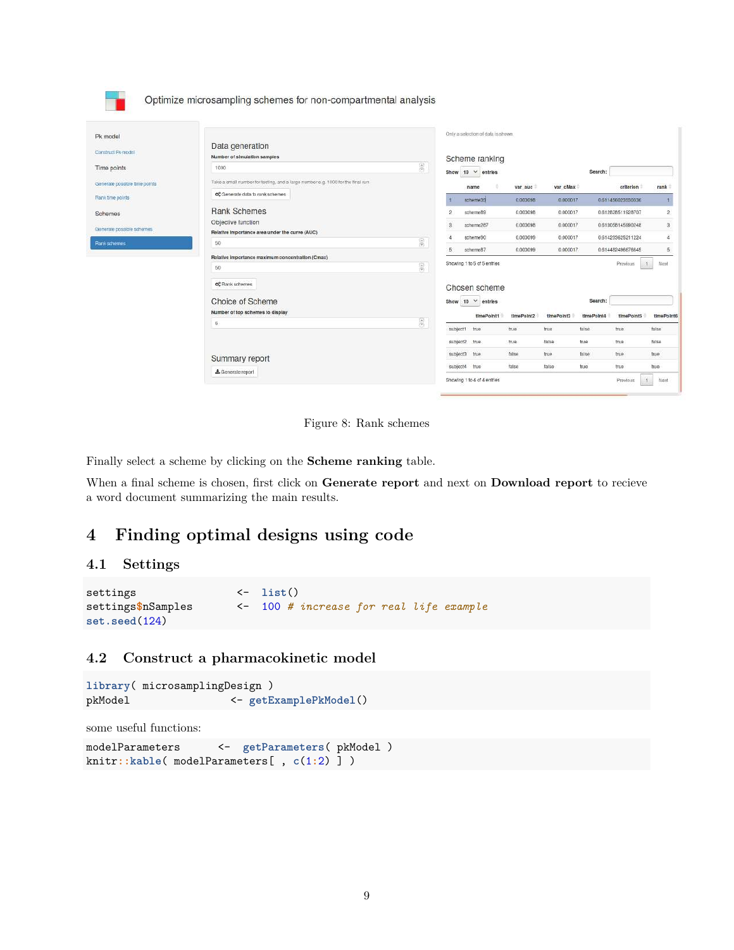|                                                   | Summary report<br>& Generale report                                                                                  |                        |                  | subject2<br>true.<br>subject3<br>true<br>subject4 true | tue<br>false<br>false | talse<br>true<br>false | true<br>false<br>true          | true.<br>true<br>true.                 | false<br>true:<br>true |
|---------------------------------------------------|----------------------------------------------------------------------------------------------------------------------|------------------------|------------------|--------------------------------------------------------|-----------------------|------------------------|--------------------------------|----------------------------------------|------------------------|
|                                                   | Choice of Scheme<br>Number of top schemes to display<br>5 <sub>2</sub>                                               | $\widehat{\mathbf{c}}$ | Show<br>subject1 | 10 Y entries<br>timePoint1<br>true                     | timePoint2<br>true    | timePoint3<br>true     | Search:<br>timePoint4<br>talse | timePoint5<br>true.                    | timePoInt6<br>false.   |
|                                                   | Relative importance maximum concentration (Cmax)<br>50<br><b>o</b> <sup>e</sup> Rank schemes                         | $\frac{1}{Q_1}$        |                  | Showing 1 to 5 of 5 entries<br>Chosen scheme           |                       |                        |                                | Previous                               | Next                   |
| <b>Rank schemes</b>                               | 50                                                                                                                   | $\widehat{g}$<br>5     |                  | schems87                                               | 0.000099              | 0.000017               |                                | 0.614482496676645                      | 5                      |
| Generale possible schemes                         | Objective function<br>Relative Importance area under the curve (AUC)                                                 |                        | 3                | scheme267<br>scheme50                                  | 0.000098<br>0.000099  | 0.000017<br>0.000017   |                                | 0.613058145990248<br>0.614293625211224 | $\alpha$<br>ă          |
| Schemes                                           | <b>Rank Schemes</b>                                                                                                  |                        | $\mathbf{2}$     | scheme89                                               | 0.000098              | 0.000017               |                                | 0.612828511928707                      | $\mathfrak{D}$         |
| Generate possible time points<br>Rank time points | Take a small number for testing, and a large number e.g. 1000 for the final run.<br>OS Generale data to rank schemes |                        |                  | name<br>scheme39                                       | var auc<br>0.000098   | var cMax<br>0.000017   |                                | criterion<br>0.611456023930336         | rank                   |
| Time points                                       | 1000                                                                                                                 | $\hat{q}(\hat{y})$     |                  | Show 10 V entries                                      |                       |                        | Search:                        |                                        |                        |
| Pk model<br>Construct Pik-model                   | Data generation<br>Number of simulation samples                                                                      |                        |                  | Only a selection of data is shown.<br>Scheme ranking   |                       |                        |                                |                                        |                        |

Figure 8: Rank schemes

Finally select a scheme by clicking on the **Scheme ranking** table.

When a final scheme is chosen, first click on **Generate report** and next on **Download report** to recieve a word document summarizing the main results.

# **4 Finding optimal designs using code**

#### **4.1 Settings**

```
settings <- list()
settings$nSamples <- 100 # increase for real life example
set.seed(124)
```
#### **4.2 Construct a pharmacokinetic model**

```
library( microsamplingDesign )
pkModel <- getExamplePkModel()
```
some useful functions:

```
modelParameters <- getParameters( pkModel )
knitr::kable( modelParameters[ , c(1:2) ] )
```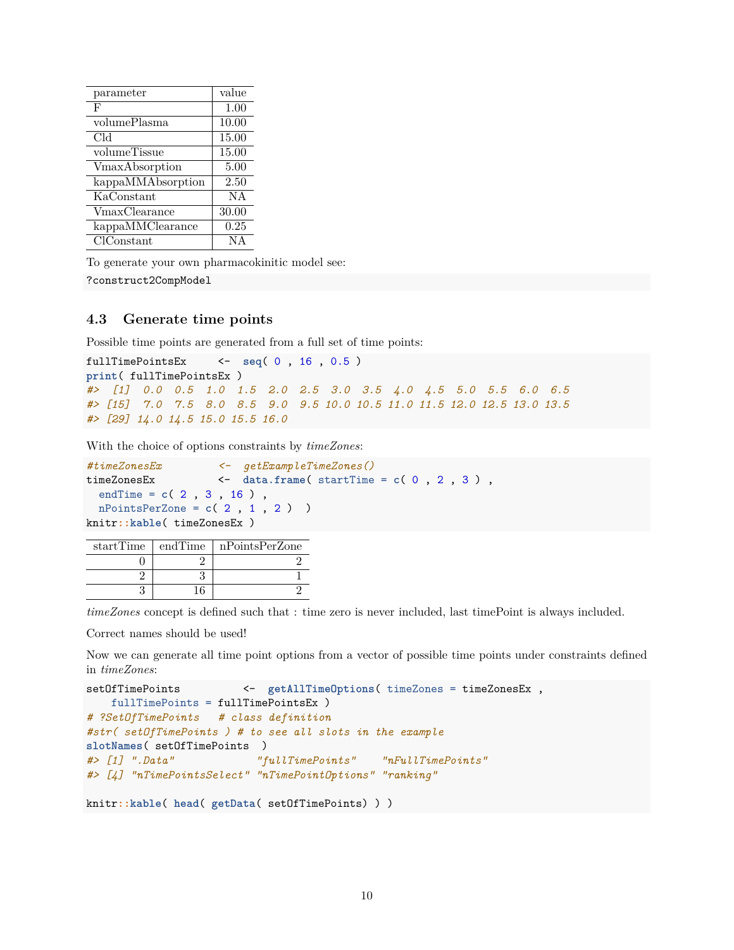| parameter         | value |
|-------------------|-------|
| F                 | 1.00  |
| volumePlasma      | 10.00 |
| Cld               | 15.00 |
| volumeTissue      | 15.00 |
| VmaxAbsorption    | 5.00  |
| kappaMMAbsorption | 2.50  |
| KaConstant        | NA    |
| VmaxClearance     | 30.00 |
| kappaMMClearance  | 0.25  |
| $CIC$ onstant     | ΝA    |
|                   |       |

To generate your own pharmacokinitic model see:

?construct2CompModel

#### **4.3 Generate time points**

Possible time points are generated from a full set of time points:

```
fullTimePointsEx <- seq( 0 , 16 , 0.5 )
print( fullTimePointsEx )
#> [1] 0.0 0.5 1.0 1.5 2.0 2.5 3.0 3.5 4.0 4.5 5.0 5.5 6.0 6.5
#> [15] 7.0 7.5 8.0 8.5 9.0 9.5 10.0 10.5 11.0 11.5 12.0 12.5 13.0 13.5
#> [29] 14.0 14.5 15.0 15.5 16.0
```
With the choice of options constraints by *timeZones*:

```
#timeZonesEx <- getExampleTimeZones()
timeZonesEx <- data.frame( startTime = c( 0 , 2 , 3 ) ,
 endTime = c( 2 , 3 , 16 ) ,
 nPointsPerZone = c( 2 , 1 , 2 ) )
knitr::kable( timeZonesEx )
```

| startTime   endTime | nPointsPerZone |
|---------------------|----------------|
|                     |                |
|                     |                |
|                     |                |

*timeZones* concept is defined such that : time zero is never included, last timePoint is always included.

Correct names should be used!

Now we can generate all time point options from a vector of possible time points under constraints defined in *timeZones*:

```
setOfTimePoints <- getAllTimeOptions( timeZones = timeZonesEx ,
   fullTimePoints = fullTimePointsEx )
# ?SetOfTimePoints # class definition
#str( setOfTimePoints ) # to see all slots in the example
slotNames( setOfTimePoints )
#> [1] ".Data" "fullTimePoints" "nFullTimePoints"
#> [4] "nTimePointsSelect" "nTimePointOptions" "ranking"
```

```
knitr::kable( head( getData( setOfTimePoints) ) )
```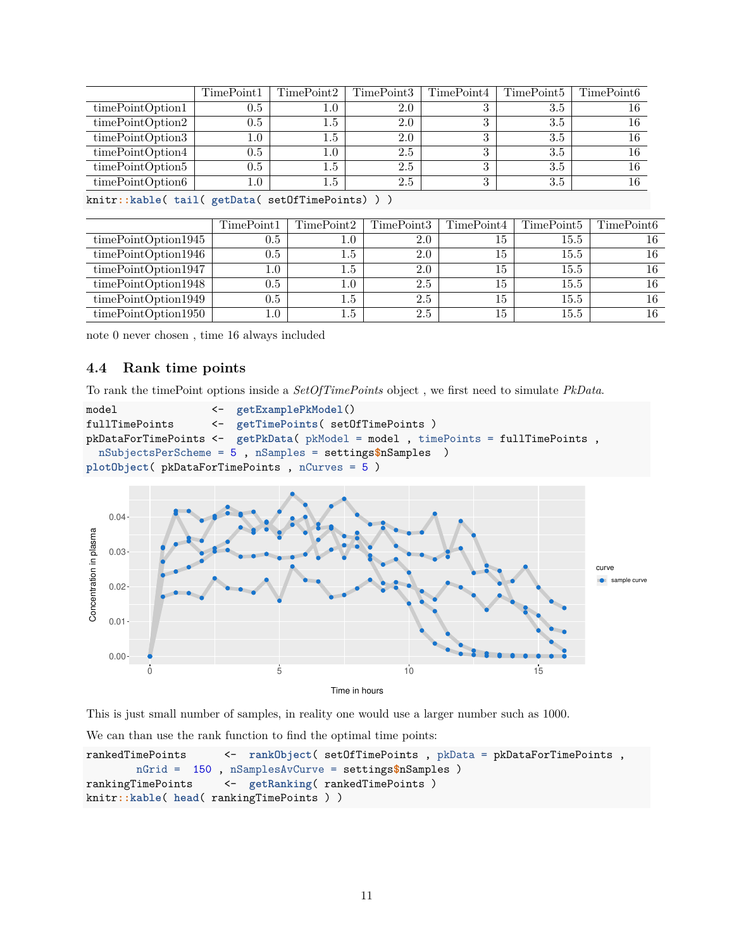| TimePoint1 | TimePoint2 | TimePoint3 | TimePoint4 | TimePoint <sub>5</sub> | TimePoint6 |
|------------|------------|------------|------------|------------------------|------------|
| $0.5\,$    | $1.0\,$    | 2.0        | ച          | 3.5                    | 16         |
| 0.5        | $1.5\,$    | 2.0        | ച          | 3.5                    |            |
| $1.0\,$    | $1.5\,$    | 2.0        | $\Omega$   | 3.5                    |            |
| 0.5        | 1.0        | 2.5        | $\Omega$   | 3.5                    | 16         |
| 0.5        | $1.5\,$    | 2.5        | $\Omega$   | 3.5                    |            |
| $1.0\,$    | $1.5\,$    | 2.5        | $\Omega$   | 3.5                    |            |
|            |            |            |            |                        |            |

knitr**::kable**( **tail**( **getData**( setOfTimePoints) ) )

|                     | TimePoint1 | TimePoint2       | TimePoint3 | TimePoint4 | TimePoint5 | TimePoint <sub>6</sub> |
|---------------------|------------|------------------|------------|------------|------------|------------------------|
| timePointOption1945 | 0.5        | 1.0 <sub>1</sub> | 2.0        | 15         | 15.5       | 16                     |
| timePointOption1946 | 0.5        | $1.5\,$          | 2.0        | 15         | $15.5\,$   | 16                     |
| timePointOption1947 | $1.0\,$    | $1.5\,$          | 2.0        | 15         | 15.5       | 16                     |
| timePointOption1948 | 0.5        | $1.0\,$          | 2.5        | 15         | 15.5       | 16                     |
| timePointOption1949 | $0.5\,$    | $1.5\,$          | 2.5        | 15         | 15.5       | 16                     |
| timePointOption1950 | 1.0        | $_{1.5}$         | 2.5        | 15         | 15.5       | 16                     |

note 0 never chosen , time 16 always included

### **4.4 Rank time points**

To rank the timePoint options inside a *SetOfTimePoints* object , we first need to simulate *PkData*.

```
model <- getExamplePkModel()
fullTimePoints <- getTimePoints( setOfTimePoints )
pkDataForTimePoints <- getPkData( pkModel = model , timePoints = fullTimePoints ,
 nSubjectsPerScheme = 5 , nSamples = settings$nSamples )
plotObject( pkDataForTimePoints , nCurves = 5 )
```


This is just small number of samples, in reality one would use a larger number such as 1000.

We can than use the rank function to find the optimal time points:

```
rankedTimePoints <- rankObject( setOfTimePoints , pkData = pkDataForTimePoints ,
       nGrid = 150 , nSamplesAvCurve = settings$nSamples )
rankingTimePoints <- getRanking( rankedTimePoints )
knitr::kable( head( rankingTimePoints ) )
```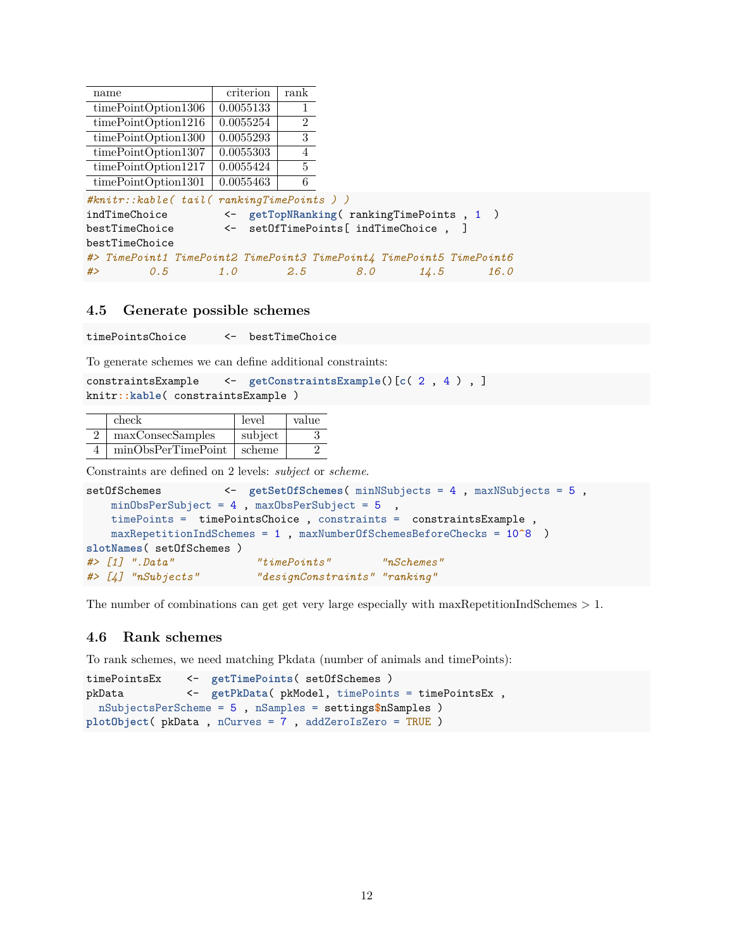| name                                                                 | criterion | rank           |                   |                                                   |      |  |  |
|----------------------------------------------------------------------|-----------|----------------|-------------------|---------------------------------------------------|------|--|--|
| timePointOption1306                                                  | 0.0055133 |                |                   |                                                   |      |  |  |
| timePointOption1216                                                  | 0.0055254 | $\overline{2}$ |                   |                                                   |      |  |  |
| timePointOption1300                                                  | 0.0055293 | 3 <sup>1</sup> |                   |                                                   |      |  |  |
| timePointOption1307                                                  | 0.0055303 | $\overline{4}$ |                   |                                                   |      |  |  |
| timePointOption1217                                                  | 0.0055424 | $5^{\circ}$    |                   |                                                   |      |  |  |
| timePointOption1301                                                  | 0.0055463 | 6              |                   |                                                   |      |  |  |
| $#knitr::kable(tail(rankingTimePoints))$                             |           |                |                   |                                                   |      |  |  |
| indTimeChoice                                                        |           |                |                   | $\leftarrow$ getTopNRanking(rankingTimePoints, 1) |      |  |  |
| bestTimeChoice                                                       |           |                |                   | <- setOfTimePoints[ indTimeChoice,                |      |  |  |
| bestTimeChoice                                                       |           |                |                   |                                                   |      |  |  |
| #> TimePoint1 TimePoint2 TimePoint3 TimePoint4 TimePoint5 TimePoint6 |           |                |                   |                                                   |      |  |  |
| #<br>0.5                                                             |           |                | $1.0$ $2.5$ $8.0$ | 14.5                                              | 16.0 |  |  |

#### **4.5 Generate possible schemes**

timePointsChoice <- bestTimeChoice

To generate schemes we can define additional constraints:

constraintsExample <- **getConstraintsExample**()[**c**( 2 , 4 ) , ] knitr**::kable**( constraintsExample )

| check              | level         | value |
|--------------------|---------------|-------|
| maxConsecSamples   | subject       |       |
| minObsPerTimePoint | $\mid$ scheme |       |

Constraints are defined on 2 levels: *subject* or *scheme*.

```
setOfSchemes <- getSetOfSchemes( minNSubjects = 4 , maxNSubjects = 5 ,
   minObsPerSubject = 4, maxObsPerSubject = 5,
   timePoints = timePointsChoice , constraints = constraintsExample ,
   maxRepetitionIndSchemes = 1 , maxNumberOfSchemesBeforeChecks = 10^8 )
slotNames( setOfSchemes )
#> [1] ".Data" "timePoints" "nSchemes"
#> [4] "nSubjects" "designConstraints" "ranking"
```
The number of combinations can get get very large especially with maxRepetitionIndSchemes  $> 1$ .

#### **4.6 Rank schemes**

To rank schemes, we need matching Pkdata (number of animals and timePoints):

```
timePointsEx <- getTimePoints( setOfSchemes )
pkData <- getPkData( pkModel, timePoints = timePointsEx ,
 nSubjectsPerScheme = 5 , nSamples = settings$nSamples )
plotObject( pkData , nCurves = 7 , addZeroIsZero = TRUE )
```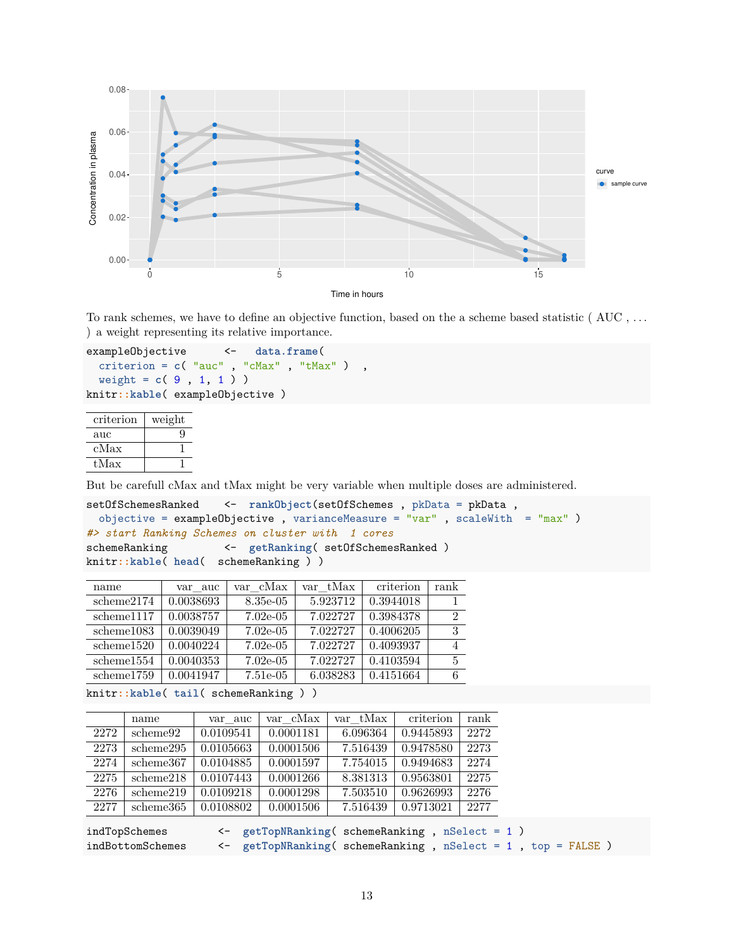

To rank schemes, we have to define an objective function, based on the a scheme based statistic ( AUC , . . . ) a weight representing its relative importance.

```
exampleObjective <- data.frame(
  criterion = c( "auc" , "cMax" , "tMax" ) ,
  weight = c( 9 , 1, 1 ) )
knitr::kable( exampleObjective )
```

| criterion     | weight |
|---------------|--------|
| $_{\rm{auc}}$ | g      |
| $_{\rm cMax}$ |        |
| tMax          |        |

But be carefull cMax and tMax might be very variable when multiple doses are administered.

```
setOfSchemesRanked <- rankObject(setOfSchemes , pkData = pkData ,
 objective = exampleObjective, varianceMeasure = "var", scaleWith = "max")
#> start Ranking Schemes on cluster with 1 cores
schemeRanking <- getRanking( setOfSchemesRanked )
knitr::kable( head( schemeRanking ) )
```

| name       | var auc   | var cMax    | var tMax | criterion | rank |
|------------|-----------|-------------|----------|-----------|------|
| scheme2174 | 0.0038693 | 8.35e-05    | 5.923712 | 0.3944018 |      |
| scheme1117 | 0.0038757 | $7.02e-0.5$ | 7.022727 | 0.3984378 | 2    |
| scheme1083 | 0.0039049 | $7.02e-0.5$ | 7.022727 | 0.4006205 | 3    |
| scheme1520 | 0.0040224 | $7.02e-0.5$ | 7.022727 | 0.4093937 |      |
| scheme1554 | 0.0040353 | $7.02e-0.5$ | 7.022727 | 0.4103594 | 5    |
| scheme1759 | 0.0041947 | $7.51e-0.5$ | 6.038283 | 0.4151664 |      |

knitr**::kable**( **tail**( schemeRanking ) )

|      | name      | var auc   | var cMax  | var tMax | criterion | rank |
|------|-----------|-----------|-----------|----------|-----------|------|
| 2272 | scheme92  | 0.0109541 | 0.0001181 | 6.096364 | 0.9445893 | 2272 |
| 2273 | scheme295 | 0.0105663 | 0.0001506 | 7.516439 | 0.9478580 | 2273 |
| 2274 | scheme367 | 0.0104885 | 0.0001597 | 7.754015 | 0.9494683 | 2274 |
| 2275 | scheme218 | 0.0107443 | 0.0001266 | 8.381313 | 0.9563801 | 2275 |
| 2276 | scheme219 | 0.0109218 | 0.0001298 | 7.503510 | 0.9626993 | 2276 |
| 2277 | scheme365 | 0.0108802 | 0.0001506 | 7.516439 | 0.9713021 | 2277 |
|      |           |           |           |          |           |      |

indTopSchemes <- **getTopNRanking**( schemeRanking , nSelect = 1 ) indBottomSchemes <- getTopNRanking( schemeRanking, nSelect = 1, top = FALSE)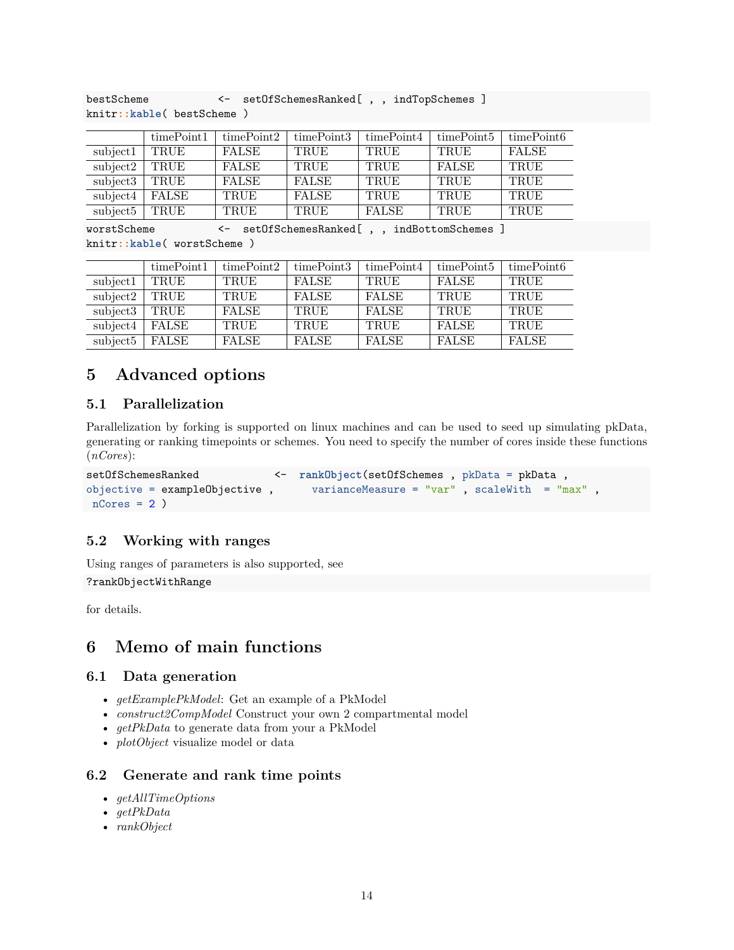|          | timePoint1   | timePoint2   | timePoint3   | timePoint4  | timePoint <sub>5</sub> | timePoint <sub>6</sub> |
|----------|--------------|--------------|--------------|-------------|------------------------|------------------------|
| subject1 | TRUE         | <b>FALSE</b> | <b>TRUE</b>  | <b>TRUE</b> | <b>TRUE</b>            | <b>FALSE</b>           |
| subject2 | TRUE         | FALSE        | <b>TRUE</b>  | <b>TRUE</b> | <b>FALSE</b>           | TRUE                   |
| subject3 | TRUE         | <b>FALSE</b> | <b>FALSE</b> | TRUE        | TRUE                   | TRUE                   |
| subject4 | <b>FALSE</b> | TRUE         | <b>FALSE</b> | TRUE        | TRUE                   | <b>TRUE</b>            |
| subject5 | TRUE         | TRUE         | <b>TRUE</b>  | FALSE       | <b>TRUE</b>            | <b>TRUE</b>            |

bestScheme <- setOfSchemesRanked[,, indTopSchemes] knitr**::kable**( bestScheme )

worstScheme <- setOfSchemesRanked[ , , indBottomSchemes ] knitr**::kable**( worstScheme )

|                              | timePoint1   | timePoint2   | timePoint3   | timePoint4   | timePoint <sub>5</sub> | timePoint <sub>6</sub> |
|------------------------------|--------------|--------------|--------------|--------------|------------------------|------------------------|
| subject1                     | TRUE         | TRUE         | <b>FALSE</b> | TRUE         | <b>FALSE</b>           | TRUE                   |
| subject2                     | TRUE         | <b>TRUE</b>  | <b>FALSE</b> | <b>FALSE</b> | TRUE                   | TRUE                   |
| $\overline{\text{subject3}}$ | TRUE         | <b>FALSE</b> | TRUE         | <b>FALSE</b> | TRUE                   | TRUE                   |
| $\overline{\text{subject4}}$ | <b>FALSE</b> | TRUE         | TRUE         | <b>TRUE</b>  | <b>FALSE</b>           | TRUE                   |
| subject5                     | <b>FALSE</b> | <b>FALSE</b> | <b>FALSE</b> | <b>FALSE</b> | <b>FALSE</b>           | <b>FALSE</b>           |

# **5 Advanced options**

# **5.1 Parallelization**

Parallelization by forking is supported on linux machines and can be used to seed up simulating pkData, generating or ranking timepoints or schemes. You need to specify the number of cores inside these functions (*nCores*):

```
setOfSchemesRanked <- rankObject(setOfSchemes , pkData = pkData , objective = exampleObjective , varianceMeasure = "var" , scaleWith = "m
                                                   varianceMeasure = "var" , scaleWith = "max" ,
 nCores = 2)
```
# **5.2 Working with ranges**

Using ranges of parameters is also supported, see

?rankObjectWithRange

for details.

# **6 Memo of main functions**

# **6.1 Data generation**

- *getExamplePkModel*: Get an example of a PkModel
- *construct2CompModel* Construct your own 2 compartmental model
- *getPkData* to generate data from your a PkModel
- *plotObject* visualize model or data

# **6.2 Generate and rank time points**

- *getAllTimeOptions*
- *getPkData*
- *rankObject*